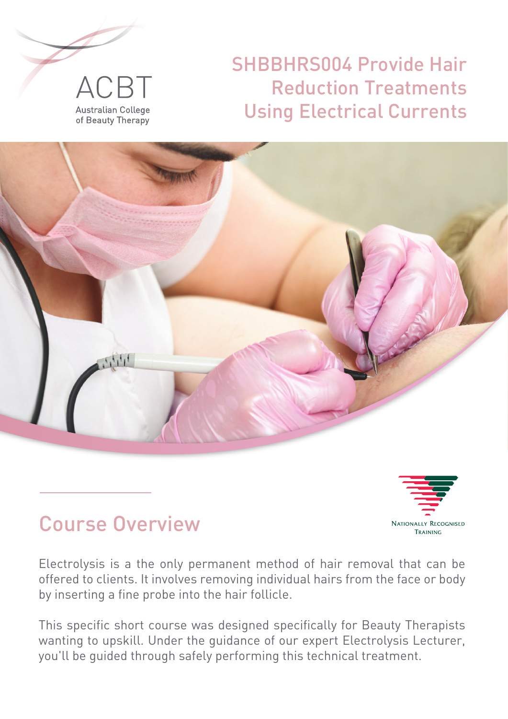

# SHBBHRS004 Provide Hair Reduction Treatments Using Electrical Currents





# Course Overview

Electrolysis is a the only permanent method of hair removal that can be offered to clients. It involves removing individual hairs from the face or body by inserting a fine probe into the hair follicle.

This specific short course was designed specifically for Beauty Therapists wanting to upskill. Under the guidance of our expert Electrolysis Lecturer, you'll be guided through safely performing this technical treatment.